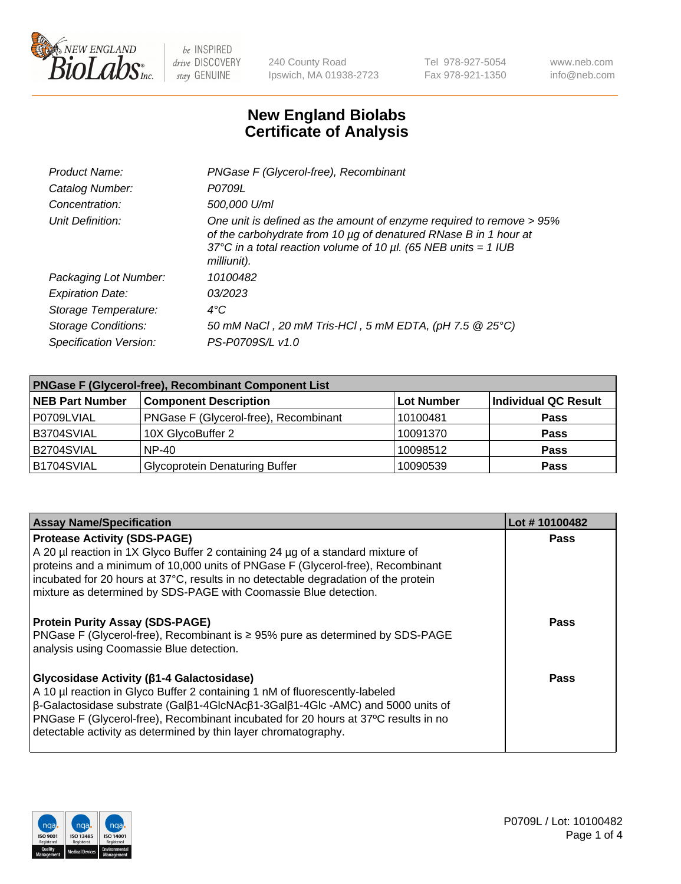

240 County Road Ipswich, MA 01938-2723 Tel 978-927-5054 Fax 978-921-1350 www.neb.com info@neb.com

## **New England Biolabs Certificate of Analysis**

| Product Name:              | PNGase F (Glycerol-free), Recombinant                                                                                                                                                                                           |
|----------------------------|---------------------------------------------------------------------------------------------------------------------------------------------------------------------------------------------------------------------------------|
| Catalog Number:            | P0709L                                                                                                                                                                                                                          |
| Concentration:             | 500,000 U/ml                                                                                                                                                                                                                    |
| Unit Definition:           | One unit is defined as the amount of enzyme required to remove > 95%<br>of the carbohydrate from 10 µg of denatured RNase B in 1 hour at<br>37°C in a total reaction volume of 10 $\mu$ l. (65 NEB units = 1 IUB<br>milliunit). |
| Packaging Lot Number:      | 10100482                                                                                                                                                                                                                        |
| <b>Expiration Date:</b>    | 03/2023                                                                                                                                                                                                                         |
| Storage Temperature:       | $4^{\circ}$ C                                                                                                                                                                                                                   |
| <b>Storage Conditions:</b> | 50 mM NaCl, 20 mM Tris-HCl, 5 mM EDTA, (pH 7.5 @ 25°C)                                                                                                                                                                          |
| Specification Version:     | PS-P0709S/L v1.0                                                                                                                                                                                                                |

| <b>PNGase F (Glycerol-free), Recombinant Component List</b> |                                       |                   |                      |  |  |
|-------------------------------------------------------------|---------------------------------------|-------------------|----------------------|--|--|
| <b>NEB Part Number</b>                                      | <b>Component Description</b>          | <b>Lot Number</b> | Individual QC Result |  |  |
| P0709LVIAL                                                  | PNGase F (Glycerol-free), Recombinant | 10100481          | <b>Pass</b>          |  |  |
| B3704SVIAL                                                  | 10X GlycoBuffer 2                     | 10091370          | <b>Pass</b>          |  |  |
| B2704SVIAL                                                  | $NP-40$                               | 10098512          | <b>Pass</b>          |  |  |
| B1704SVIAL                                                  | <b>Glycoprotein Denaturing Buffer</b> | 10090539          | <b>Pass</b>          |  |  |

| <b>Assay Name/Specification</b>                                                                                                                                                                                                                                                                                                                                                                    | Lot #10100482 |
|----------------------------------------------------------------------------------------------------------------------------------------------------------------------------------------------------------------------------------------------------------------------------------------------------------------------------------------------------------------------------------------------------|---------------|
| <b>Protease Activity (SDS-PAGE)</b><br>A 20 µl reaction in 1X Glyco Buffer 2 containing 24 µg of a standard mixture of<br>proteins and a minimum of 10,000 units of PNGase F (Glycerol-free), Recombinant<br>incubated for 20 hours at 37°C, results in no detectable degradation of the protein<br>mixture as determined by SDS-PAGE with Coomassie Blue detection.                               | <b>Pass</b>   |
| <b>Protein Purity Assay (SDS-PAGE)</b><br>PNGase F (Glycerol-free), Recombinant is $\geq 95\%$ pure as determined by SDS-PAGE<br>analysis using Coomassie Blue detection.                                                                                                                                                                                                                          | Pass          |
| Glycosidase Activity (β1-4 Galactosidase)<br>A 10 µl reaction in Glyco Buffer 2 containing 1 nM of fluorescently-labeled<br>$\beta$ -Galactosidase substrate (Gal $\beta$ 1-4GlcNAc $\beta$ 1-3Gal $\beta$ 1-4Glc -AMC) and 5000 units of<br>PNGase F (Glycerol-free), Recombinant incubated for 20 hours at 37°C results in no<br>detectable activity as determined by thin layer chromatography. | <b>Pass</b>   |

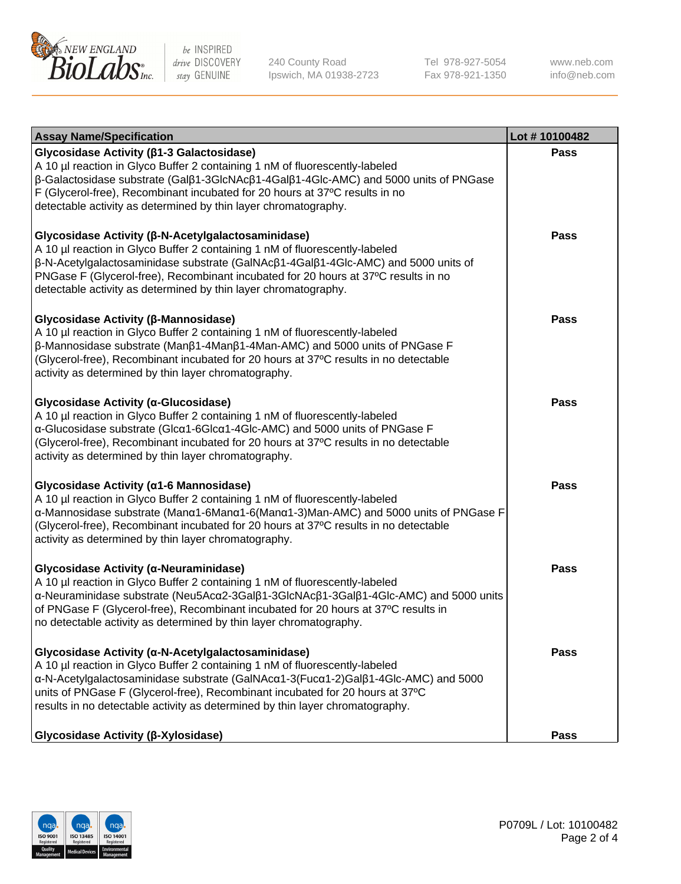

240 County Road Ipswich, MA 01938-2723 Tel 978-927-5054 Fax 978-921-1350 www.neb.com info@neb.com

| <b>Assay Name/Specification</b>                                                                                                                                                                                                                                                                                                                                                                         | Lot #10100482 |
|---------------------------------------------------------------------------------------------------------------------------------------------------------------------------------------------------------------------------------------------------------------------------------------------------------------------------------------------------------------------------------------------------------|---------------|
| Glycosidase Activity (β1-3 Galactosidase)<br>A 10 µl reaction in Glyco Buffer 2 containing 1 nM of fluorescently-labeled<br>$\beta$ -Galactosidase substrate (Gal $\beta$ 1-3GlcNAc $\beta$ 1-4Gal $\beta$ 1-4Glc-AMC) and 5000 units of PNGase<br>F (Glycerol-free), Recombinant incubated for 20 hours at 37°C results in no<br>detectable activity as determined by thin layer chromatography.       | Pass          |
| Glycosidase Activity (β-N-Acetylgalactosaminidase)<br>A 10 µl reaction in Glyco Buffer 2 containing 1 nM of fluorescently-labeled<br>$\beta$ -N-Acetylgalactosaminidase substrate (GalNAc $\beta$ 1-4Gal $\beta$ 1-4Glc-AMC) and 5000 units of<br>PNGase F (Glycerol-free), Recombinant incubated for 20 hours at 37°C results in no<br>detectable activity as determined by thin layer chromatography. | <b>Pass</b>   |
| Glycosidase Activity (β-Mannosidase)<br>A 10 µl reaction in Glyco Buffer 2 containing 1 nM of fluorescently-labeled<br>β-Mannosidase substrate (Manβ1-4Manβ1-4Man-AMC) and 5000 units of PNGase F<br>(Glycerol-free), Recombinant incubated for 20 hours at 37°C results in no detectable<br>activity as determined by thin layer chromatography.                                                       | <b>Pass</b>   |
| Glycosidase Activity (α-Glucosidase)<br>A 10 µl reaction in Glyco Buffer 2 containing 1 nM of fluorescently-labeled<br>α-Glucosidase substrate (Glcα1-6Glcα1-4Glc-AMC) and 5000 units of PNGase F<br>(Glycerol-free), Recombinant incubated for 20 hours at 37°C results in no detectable<br>activity as determined by thin layer chromatography.                                                       | <b>Pass</b>   |
| Glycosidase Activity (α1-6 Mannosidase)<br>A 10 µl reaction in Glyco Buffer 2 containing 1 nM of fluorescently-labeled<br>α-Mannosidase substrate (Μanα1-6Μanα1-6(Μanα1-3)Man-AMC) and 5000 units of PNGase F<br>(Glycerol-free), Recombinant incubated for 20 hours at 37°C results in no detectable<br>activity as determined by thin layer chromatography.                                           | <b>Pass</b>   |
| Glycosidase Activity (α-Neuraminidase)<br>A 10 µl reaction in Glyco Buffer 2 containing 1 nM of fluorescently-labeled<br>α-Neuraminidase substrate (Neu5Acα2-3Galβ1-3GlcNAcβ1-3Galβ1-4Glc-AMC) and 5000 units<br>of PNGase F (Glycerol-free), Recombinant incubated for 20 hours at 37°C results in<br>no detectable activity as determined by thin layer chromatography.                               | <b>Pass</b>   |
| Glycosidase Activity (α-N-Acetylgalactosaminidase)<br>A 10 µl reaction in Glyco Buffer 2 containing 1 nM of fluorescently-labeled<br>α-N-Acetylgalactosaminidase substrate (GalNAcα1-3(Fucα1-2)Galβ1-4Glc-AMC) and 5000<br>units of PNGase F (Glycerol-free), Recombinant incubated for 20 hours at 37°C<br>results in no detectable activity as determined by thin layer chromatography.               | Pass          |
| <b>Glycosidase Activity (β-Xylosidase)</b>                                                                                                                                                                                                                                                                                                                                                              | <b>Pass</b>   |

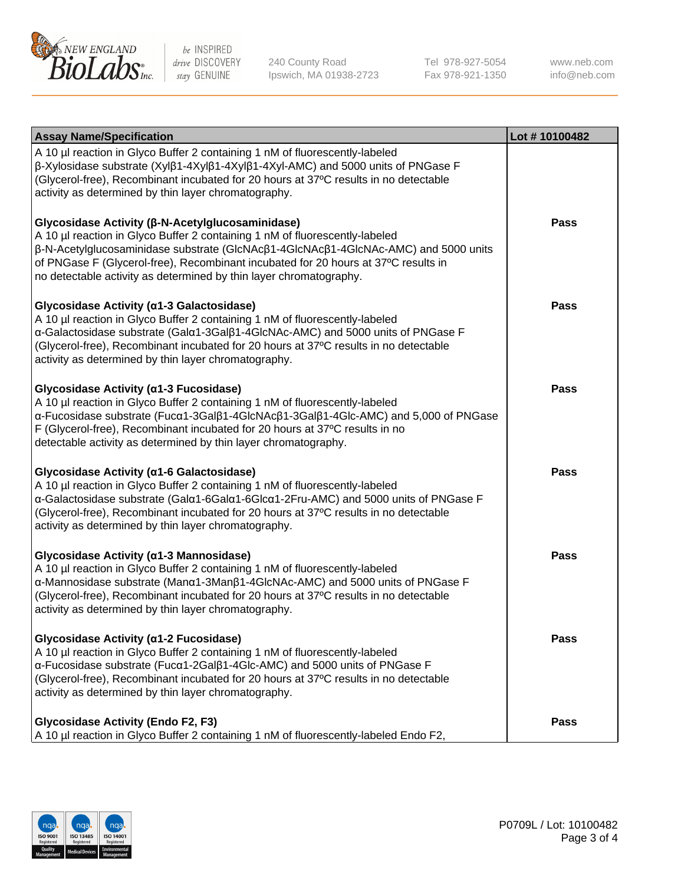

240 County Road Ipswich, MA 01938-2723 Tel 978-927-5054 Fax 978-921-1350

www.neb.com info@neb.com

| <b>Assay Name/Specification</b>                                                                                                                                                                                                                                                                                                                                                    | Lot #10100482 |
|------------------------------------------------------------------------------------------------------------------------------------------------------------------------------------------------------------------------------------------------------------------------------------------------------------------------------------------------------------------------------------|---------------|
| A 10 µl reaction in Glyco Buffer 2 containing 1 nM of fluorescently-labeled<br>β-Xylosidase substrate (Xylβ1-4Xylβ1-4Xylβ1-4Xyl-AMC) and 5000 units of PNGase F<br>(Glycerol-free), Recombinant incubated for 20 hours at 37°C results in no detectable<br>activity as determined by thin layer chromatography.                                                                    |               |
| Glycosidase Activity (β-N-Acetylglucosaminidase)<br>A 10 µl reaction in Glyco Buffer 2 containing 1 nM of fluorescently-labeled<br>β-N-Acetylglucosaminidase substrate (GlcNAcβ1-4GlcNAcβ1-4GlcNAc-AMC) and 5000 units<br>of PNGase F (Glycerol-free), Recombinant incubated for 20 hours at 37°C results in<br>no detectable activity as determined by thin layer chromatography. | <b>Pass</b>   |
| Glycosidase Activity (α1-3 Galactosidase)<br>A 10 µl reaction in Glyco Buffer 2 containing 1 nM of fluorescently-labeled<br>α-Galactosidase substrate (Galα1-3Galβ1-4GlcNAc-AMC) and 5000 units of PNGase F<br>(Glycerol-free), Recombinant incubated for 20 hours at 37°C results in no detectable<br>activity as determined by thin layer chromatography.                        | <b>Pass</b>   |
| Glycosidase Activity (α1-3 Fucosidase)<br>A 10 µl reaction in Glyco Buffer 2 containing 1 nM of fluorescently-labeled<br>α-Fucosidase substrate (Fucα1-3Galβ1-4GlcNAcβ1-3Galβ1-4Glc-AMC) and 5,000 of PNGase<br>F (Glycerol-free), Recombinant incubated for 20 hours at 37°C results in no<br>detectable activity as determined by thin layer chromatography.                     | Pass          |
| Glycosidase Activity (α1-6 Galactosidase)<br>A 10 µl reaction in Glyco Buffer 2 containing 1 nM of fluorescently-labeled<br>α-Galactosidase substrate (Galα1-6Galα1-6Glcα1-2Fru-AMC) and 5000 units of PNGase F<br>(Glycerol-free), Recombinant incubated for 20 hours at 37°C results in no detectable<br>activity as determined by thin layer chromatography.                    | <b>Pass</b>   |
| Glycosidase Activity (α1-3 Mannosidase)<br>A 10 µl reaction in Glyco Buffer 2 containing 1 nM of fluorescently-labeled<br>α-Mannosidase substrate (Manα1-3Manβ1-4GlcNAc-AMC) and 5000 units of PNGase F<br>(Glycerol-free), Recombinant incubated for 20 hours at 37°C results in no detectable<br>activity as determined by thin layer chromatography.                            | <b>Pass</b>   |
| Glycosidase Activity (α1-2 Fucosidase)<br>A 10 µl reaction in Glyco Buffer 2 containing 1 nM of fluorescently-labeled<br>α-Fucosidase substrate (Fucα1-2Galβ1-4Glc-AMC) and 5000 units of PNGase F<br>(Glycerol-free), Recombinant incubated for 20 hours at 37°C results in no detectable<br>activity as determined by thin layer chromatography.                                 | <b>Pass</b>   |
| <b>Glycosidase Activity (Endo F2, F3)</b><br>A 10 µl reaction in Glyco Buffer 2 containing 1 nM of fluorescently-labeled Endo F2,                                                                                                                                                                                                                                                  | <b>Pass</b>   |